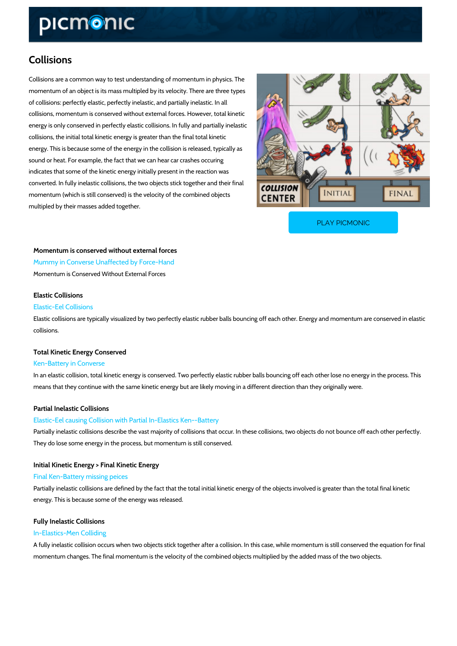# Collisions

Collisions are a common way to test understanding of momentum in physics. The momentum of an object is its mass multipled by its velocity. There are three types of collisions: perfectly elastic, perfectly inelastic, and partially inelastic. In all collisions, momentum is conserved without external forces. However, total kinetic energy is only conserved in perfectly elastic collisions. In fully and partially inelastic collisions, the initial total kinetic energy is greater than the final total kinetic energy. This is because some of the energy in the collision is released, typically as sound or heat. For example, the fact that we can hear car crashes occuring indicates that some of the kinetic energy initially present in the reaction was converted. In fully inelastic collisions, the two objects stick together and their final momentum (which is still conserved) is the velocity of the combined objects multipled by their masses added together.

[PLAY PICMONIC](https://www.picmonic.com/learn/collisions_1037?utm_source=downloadable_content&utm_medium=distributedcontent&utm_campaign=pathways_pdf&utm_content=Collisions&utm_ad_group=leads&utm_market=all)

Momentum is conserved without external forces Mummy in Converse Unaffected by Force-Hand Momentum is Conserved Without External Forces

#### Elastic Collisions

#### Elastic-Eel Collisions

Elastic collisions are typically visualized by two perfectly elastic rubber balls bouncing off ea collisions.

Total Kinetic Energy Conserved

## Ken-Battery in Converse

In an elastic collision, total kinetic energy is conserved. Two perfectly elastic rubber balls bo means that they continue with the same kinetic energy but are likely moving in a different dire

### Partial Inelastic Collisions

#### Elastic-Eel causing Collision with Partial In-Elastics Ken--Battery

Partially inelastic collisions describe the vast majority of collisions that occur. In these colli They do lose some energy in the process, but momentum is still conserved.

## Initial Kinetic Energy > Final Kinetic Energy

#### Final Ken-Battery missing peices

Partially inelastic collisions are defined by the fact that the total initial kinetic energy of the energy. This is because some of the energy was released.

## Fully Inelastic Collisions

## In-Elastics-Men Colliding

A fully inelastic collision occurs when two objects stick together after a collision. In this case momentum changes. The final momentum is the velocity of the combined objects multiplied by